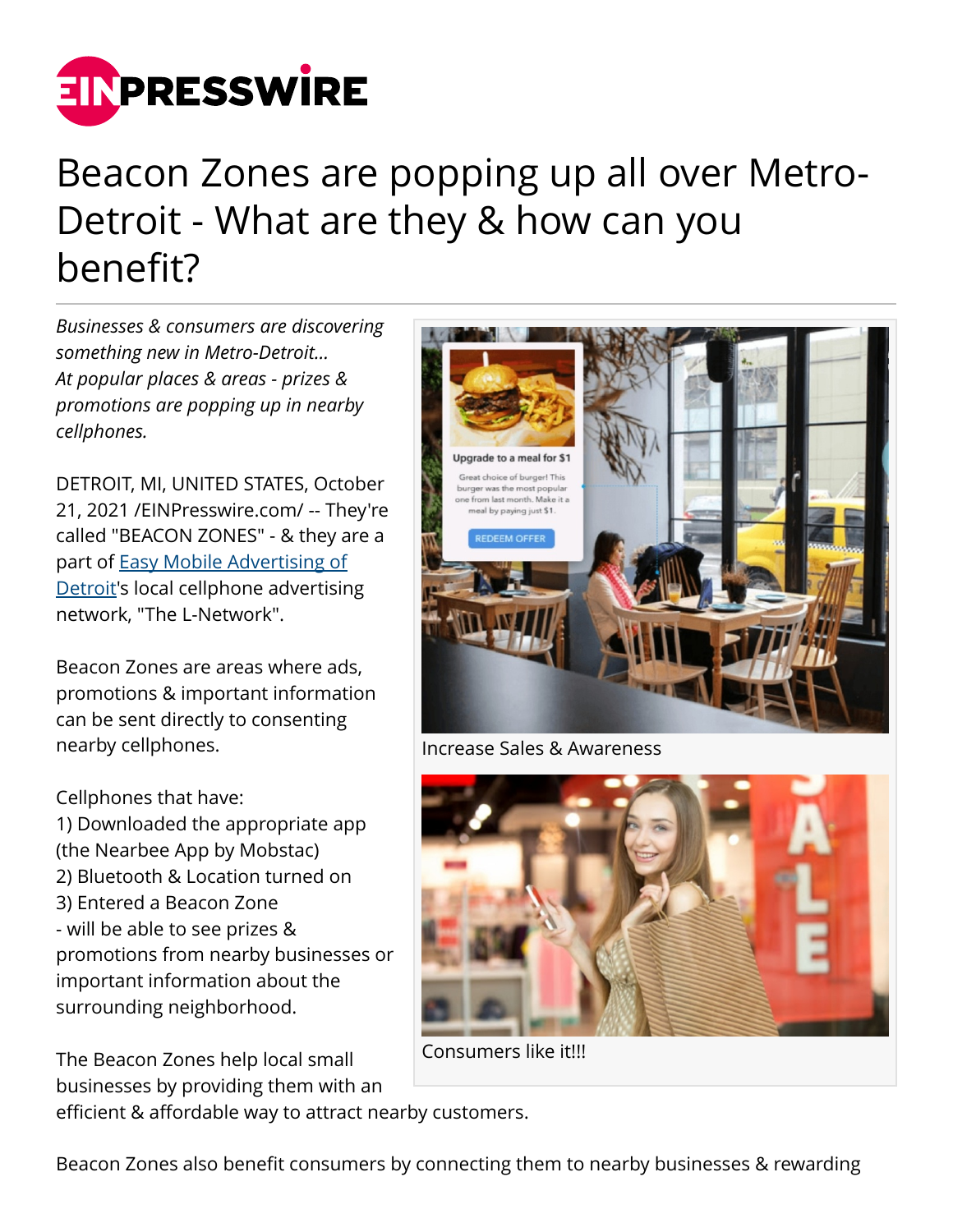

## Beacon Zones are popping up all over Metro-Detroit - What are they & how can you benefit?

*Businesses & consumers are discovering something new in Metro-Detroit... At popular places & areas - prizes & promotions are popping up in nearby cellphones.*

DETROIT, MI, UNITED STATES, October 21, 2021 /[EINPresswire.com/](http://www.einpresswire.com) -- They're called "BEACON ZONES" - & they are a part of [Easy Mobile Advertising of](https://www.easy-mobile-advertising.com/locationads) [Detroit](https://www.easy-mobile-advertising.com/locationads)'s local cellphone advertising network, "The L-Network".

Beacon Zones are areas where ads, promotions & important information can be sent directly to consenting nearby cellphones.

Cellphones that have: 1) Downloaded the appropriate app (the Nearbee App by Mobstac) 2) Bluetooth & Location turned on 3) Entered a Beacon Zone - will be able to see prizes & promotions from nearby businesses or important information about the surrounding neighborhood.

The Beacon Zones help local small businesses by providing them with an



Increase Sales & Awareness



Consumers like it!!!

efficient & affordable way to attract nearby customers.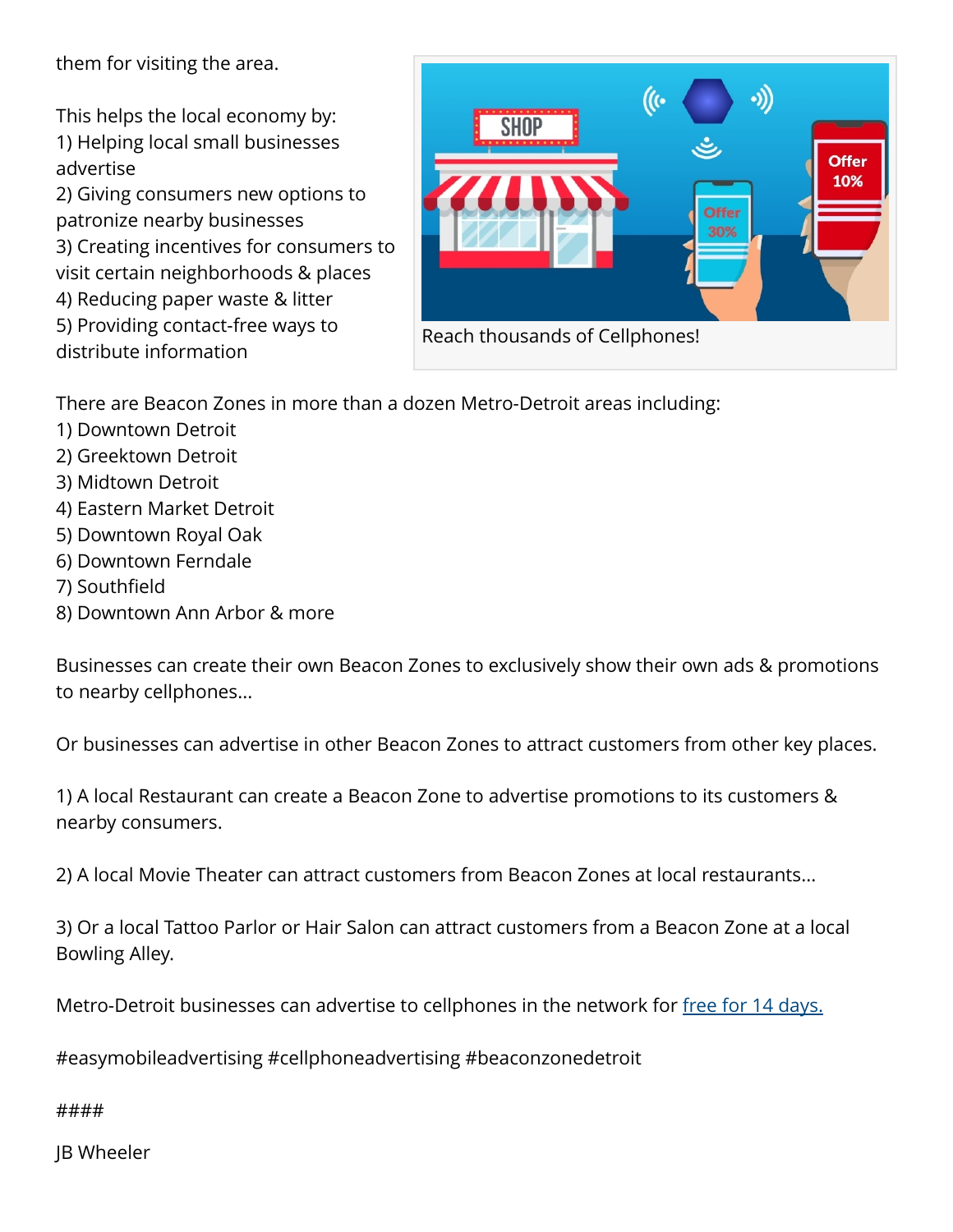them for visiting the area.

This helps the local economy by: 1) Helping local small businesses advertise

2) Giving consumers new options to patronize nearby businesses 3) Creating incentives for consumers to visit certain neighborhoods & places 4) Reducing paper waste & litter 5) Providing contact-free ways to distribute information



There are Beacon Zones in more than a dozen Metro-Detroit areas including:

- 1) Downtown Detroit
- 2) Greektown Detroit
- 3) Midtown Detroit
- 4) Eastern Market Detroit
- 5) Downtown Royal Oak
- 6) Downtown Ferndale
- 7) Southfield
- 8) Downtown Ann Arbor & more

Businesses can create their own Beacon Zones to exclusively show their own ads & promotions to nearby cellphones...

Or businesses can advertise in other Beacon Zones to attract customers from other key places.

1) A local Restaurant can create a Beacon Zone to advertise promotions to its customers & nearby consumers.

2) A local Movie Theater can attract customers from Beacon Zones at local restaurants...

3) Or a local Tattoo Parlor or Hair Salon can attract customers from a Beacon Zone at a local Bowling Alley.

Metro-Detroit businesses can advertise to cellphones in the network for [free for 14 days.](https://www.easy-mobile-advertising.com/detroit-locations)

#easymobileadvertising #cellphoneadvertising #beaconzonedetroit

####

JB Wheeler